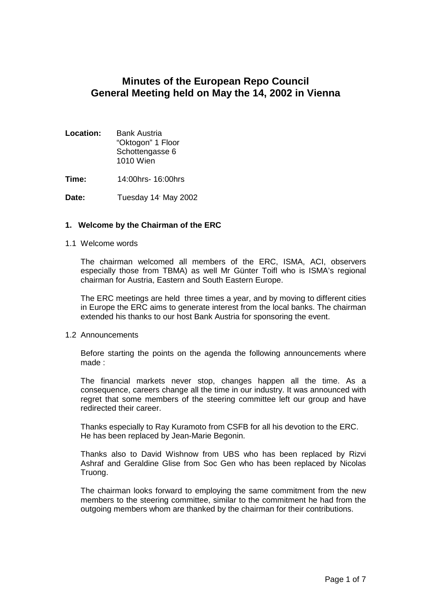# **Minutes of the European Repo Council General Meeting held on May the 14, 2002 in Vienna**

| Location: | <b>Bank Austria</b> |
|-----------|---------------------|
|           | "Oktogon" 1 Floor   |
|           | Schottengasse 6     |
|           | 1010 Wien           |

**Time:** 14:00hrs- 16:00hrs

Date: Tuesday 14<sup>,</sup> May 2002

#### **1. Welcome by the Chairman of the ERC**

#### 1.1 Welcome words

The chairman welcomed all members of the ERC, ISMA, ACI, observers especially those from TBMA) as well Mr Günter Toifl who is ISMA's regional chairman for Austria, Eastern and South Eastern Europe.

The ERC meetings are held three times a year, and by moving to different cities in Europe the ERC aims to generate interest from the local banks. The chairman extended his thanks to our host Bank Austria for sponsoring the event.

#### 1.2 Announcements

Before starting the points on the agenda the following announcements where made :

The financial markets never stop, changes happen all the time. As a consequence, careers change all the time in our industry. It was announced with regret that some members of the steering committee left our group and have redirected their career.

Thanks especially to Ray Kuramoto from CSFB for all his devotion to the ERC. He has been replaced by Jean-Marie Begonin.

Thanks also to David Wishnow from UBS who has been replaced by Rizvi Ashraf and Geraldine Glise from Soc Gen who has been replaced by Nicolas Truong.

The chairman looks forward to employing the same commitment from the new members to the steering committee, similar to the commitment he had from the outgoing members whom are thanked by the chairman for their contributions.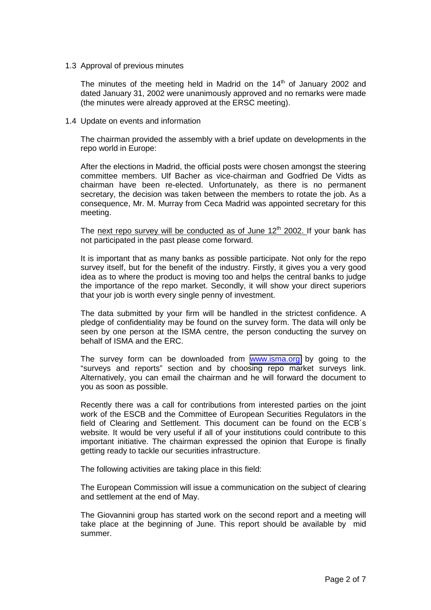1.3 Approval of previous minutes

The minutes of the meeting held in Madrid on the  $14<sup>th</sup>$  of January 2002 and dated January 31, 2002 were unanimously approved and no remarks were made (the minutes were already approved at the ERSC meeting).

1.4 Update on events and information

The chairman provided the assembly with a brief update on developments in the repo world in Europe:

After the elections in Madrid, the official posts were chosen amongst the steering committee members. Ulf Bacher as vice-chairman and Godfried De Vidts as chairman have been re-elected. Unfortunately, as there is no permanent secretary, the decision was taken between the members to rotate the job. As a consequence, Mr. M. Murray from Ceca Madrid was appointed secretary for this meeting.

The next repo survey will be conducted as of June 12<sup>th</sup> 2002. If your bank has not participated in the past please come forward.

It is important that as many banks as possible participate. Not only for the repo survey itself, but for the benefit of the industry. Firstly, it gives you a very good idea as to where the product is moving too and helps the central banks to judge the importance of the repo market. Secondly, it will show your direct superiors that your job is worth every single penny of investment.

The data submitted by your firm will be handled in the strictest confidence. A pledge of confidentiality may be found on the survey form. The data will only be seen by one person at the ISMA centre, the person conducting the survey on behalf of ISMA and the ERC.

The survey form can be downloaded from **www.isma.org** by going to the "surveys and reports" section and by choosing repo market surveys link. Alternatively, you can email the chairman and he will forward the document to you as soon as possible.

Recently there was a call for contributions from interested parties on the joint work of the ESCB and the Committee of European Securities Regulators in the field of Clearing and Settlement. This document can be found on the ECB´s website. It would be very useful if all of your institutions could contribute to this important initiative. The chairman expressed the opinion that Europe is finally getting ready to tackle our securities infrastructure.

The following activities are taking place in this field:

The European Commission will issue a communication on the subject of clearing and settlement at the end of May.

The Giovannini group has started work on the second report and a meeting will take place at the beginning of June. This report should be available by mid summer.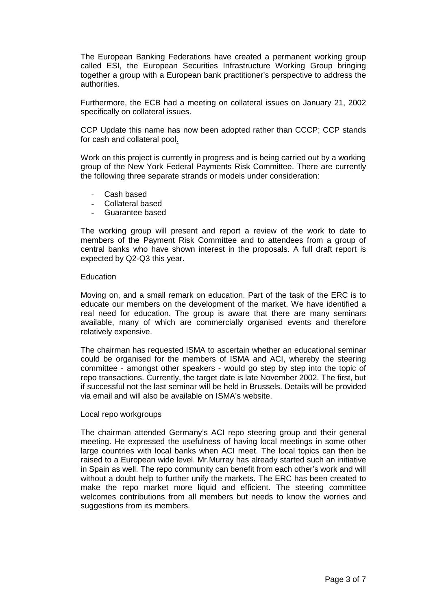The European Banking Federations have created a permanent working group called ESI, the European Securities Infrastructure Working Group bringing together a group with a European bank practitioner's perspective to address the authorities.

Furthermore, the ECB had a meeting on collateral issues on January 21, 2002 specifically on collateral issues.

CCP Update this name has now been adopted rather than CCCP; CCP stands for cash and collateral pool.

Work on this project is currently in progress and is being carried out by a working group of the New York Federal Payments Risk Committee. There are currently the following three separate strands or models under consideration:

- Cash based
- Collateral based
- Guarantee based

The working group will present and report a review of the work to date to members of the Payment Risk Committee and to attendees from a group of central banks who have shown interest in the proposals. A full draft report is expected by Q2-Q3 this year.

#### Education

Moving on, and a small remark on education. Part of the task of the ERC is to educate our members on the development of the market. We have identified a real need for education. The group is aware that there are many seminars available, many of which are commercially organised events and therefore relatively expensive.

The chairman has requested ISMA to ascertain whether an educational seminar could be organised for the members of ISMA and ACI, whereby the steering committee - amongst other speakers - would go step by step into the topic of repo transactions. Currently, the target date is late November 2002. The first, but if successful not the last seminar will be held in Brussels. Details will be provided via email and will also be available on ISMA's website.

#### Local repo workgroups

The chairman attended Germany's ACI repo steering group and their general meeting. He expressed the usefulness of having local meetings in some other large countries with local banks when ACI meet. The local topics can then be raised to a European wide level. Mr.Murray has already started such an initiative in Spain as well. The repo community can benefit from each other's work and will without a doubt help to further unify the markets. The ERC has been created to make the repo market more liquid and efficient. The steering committee welcomes contributions from all members but needs to know the worries and suggestions from its members.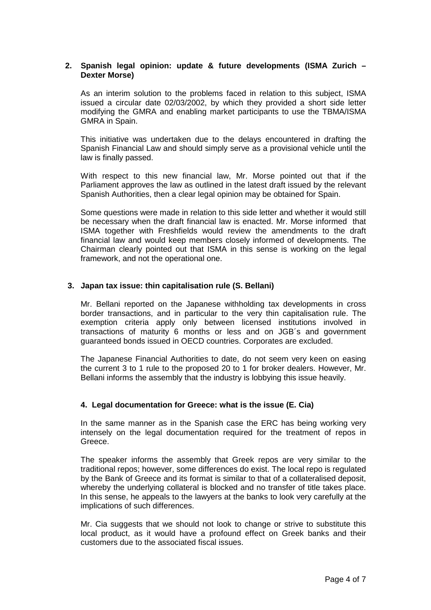#### **2. Spanish legal opinion: update & future developments (ISMA Zurich – Dexter Morse)**

As an interim solution to the problems faced in relation to this subject, ISMA issued a circular date 02/03/2002, by which they provided a short side letter modifying the GMRA and enabling market participants to use the TBMA/ISMA GMRA in Spain.

This initiative was undertaken due to the delays encountered in drafting the Spanish Financial Law and should simply serve as a provisional vehicle until the law is finally passed.

With respect to this new financial law, Mr. Morse pointed out that if the Parliament approves the law as outlined in the latest draft issued by the relevant Spanish Authorities, then a clear legal opinion may be obtained for Spain.

Some questions were made in relation to this side letter and whether it would still be necessary when the draft financial law is enacted. Mr. Morse informed that ISMA together with Freshfields would review the amendments to the draft financial law and would keep members closely informed of developments. The Chairman clearly pointed out that ISMA in this sense is working on the legal framework, and not the operational one.

#### **3. Japan tax issue: thin capitalisation rule (S. Bellani)**

Mr. Bellani reported on the Japanese withholding tax developments in cross border transactions, and in particular to the very thin capitalisation rule. The exemption criteria apply only between licensed institutions involved in transactions of maturity 6 months or less and on JGB´s and government guaranteed bonds issued in OECD countries. Corporates are excluded.

The Japanese Financial Authorities to date, do not seem very keen on easing the current 3 to 1 rule to the proposed 20 to 1 for broker dealers. However, Mr. Bellani informs the assembly that the industry is lobbying this issue heavily.

# **4. Legal documentation for Greece: what is the issue (E. Cia)**

In the same manner as in the Spanish case the ERC has being working very intensely on the legal documentation required for the treatment of repos in Greece.

The speaker informs the assembly that Greek repos are very similar to the traditional repos; however, some differences do exist. The local repo is regulated by the Bank of Greece and its format is similar to that of a collateralised deposit, whereby the underlying collateral is blocked and no transfer of title takes place. In this sense, he appeals to the lawyers at the banks to look very carefully at the implications of such differences.

Mr. Cia suggests that we should not look to change or strive to substitute this local product, as it would have a profound effect on Greek banks and their customers due to the associated fiscal issues.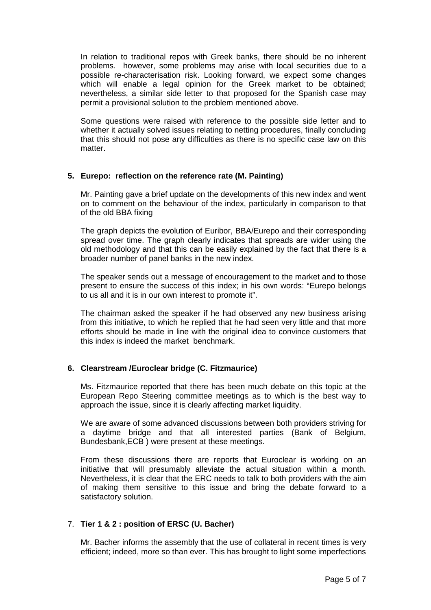In relation to traditional repos with Greek banks, there should be no inherent problems. however, some problems may arise with local securities due to a possible re-characterisation risk. Looking forward, we expect some changes which will enable a legal opinion for the Greek market to be obtained; nevertheless, a similar side letter to that proposed for the Spanish case may permit a provisional solution to the problem mentioned above.

Some questions were raised with reference to the possible side letter and to whether it actually solved issues relating to netting procedures, finally concluding that this should not pose any difficulties as there is no specific case law on this matter

# **5. Eurepo: reflection on the reference rate (M. Painting)**

Mr. Painting gave a brief update on the developments of this new index and went on to comment on the behaviour of the index, particularly in comparison to that of the old BBA fixing

The graph depicts the evolution of Euribor, BBA/Eurepo and their corresponding spread over time. The graph clearly indicates that spreads are wider using the old methodology and that this can be easily explained by the fact that there is a broader number of panel banks in the new index.

The speaker sends out a message of encouragement to the market and to those present to ensure the success of this index; in his own words: "Eurepo belongs to us all and it is in our own interest to promote it".

The chairman asked the speaker if he had observed any new business arising from this initiative, to which he replied that he had seen very little and that more efforts should be made in line with the original idea to convince customers that this index *is* indeed the market benchmark.

# **6. Clearstream /Euroclear bridge (C. Fitzmaurice)**

Ms. Fitzmaurice reported that there has been much debate on this topic at the European Repo Steering committee meetings as to which is the best way to approach the issue, since it is clearly affecting market liquidity.

We are aware of some advanced discussions between both providers striving for a daytime bridge and that all interested parties (Bank of Belgium, Bundesbank,ECB ) were present at these meetings.

From these discussions there are reports that Euroclear is working on an initiative that will presumably alleviate the actual situation within a month. Nevertheless, it is clear that the ERC needs to talk to both providers with the aim of making them sensitive to this issue and bring the debate forward to a satisfactory solution.

# 7. **Tier 1 & 2 : position of ERSC (U. Bacher)**

Mr. Bacher informs the assembly that the use of collateral in recent times is very efficient; indeed, more so than ever. This has brought to light some imperfections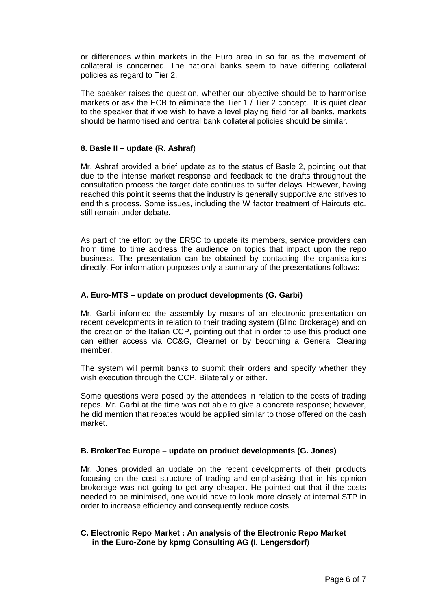or differences within markets in the Euro area in so far as the movement of collateral is concerned. The national banks seem to have differing collateral policies as regard to Tier 2.

The speaker raises the question, whether our objective should be to harmonise markets or ask the ECB to eliminate the Tier 1 / Tier 2 concept. It is quiet clear to the speaker that if we wish to have a level playing field for all banks, markets should be harmonised and central bank collateral policies should be similar.

#### **8. Basle II – update (R. Ashraf**)

Mr. Ashraf provided a brief update as to the status of Basle 2, pointing out that due to the intense market response and feedback to the drafts throughout the consultation process the target date continues to suffer delays. However, having reached this point it seems that the industry is generally supportive and strives to end this process. Some issues, including the W factor treatment of Haircuts etc. still remain under debate.

 As part of the effort by the ERSC to update its members, service providers can from time to time address the audience on topics that impact upon the repo business. The presentation can be obtained by contacting the organisations directly. For information purposes only a summary of the presentations follows:

#### **A. Euro-MTS – update on product developments (G. Garbi)**

Mr. Garbi informed the assembly by means of an electronic presentation on recent developments in relation to their trading system (Blind Brokerage) and on the creation of the Italian CCP, pointing out that in order to use this product one can either access via CC&G, Clearnet or by becoming a General Clearing member.

The system will permit banks to submit their orders and specify whether they wish execution through the CCP, Bilaterally or either.

Some questions were posed by the attendees in relation to the costs of trading repos. Mr. Garbi at the time was not able to give a concrete response; however, he did mention that rebates would be applied similar to those offered on the cash market.

#### **B. BrokerTec Europe – update on product developments (G. Jones)**

Mr. Jones provided an update on the recent developments of their products focusing on the cost structure of trading and emphasising that in his opinion brokerage was not going to get any cheaper. He pointed out that if the costs needed to be minimised, one would have to look more closely at internal STP in order to increase efficiency and consequently reduce costs.

# **C. Electronic Repo Market : An analysis of the Electronic Repo Market in the Euro-Zone by kpmg Consulting AG (I. Lengersdorf**)